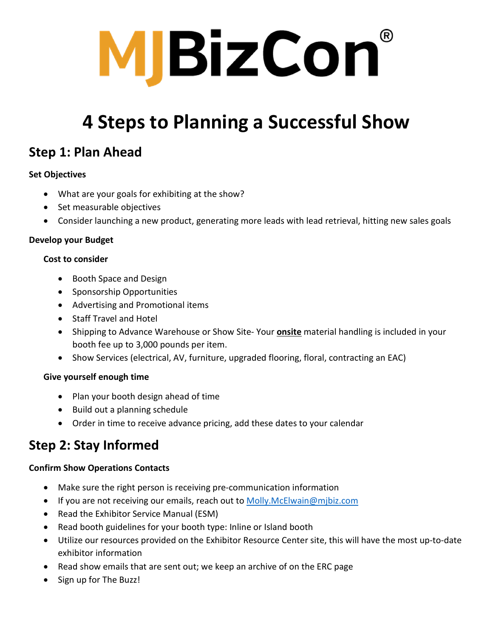

## **4 Steps to Planning a Successful Show**

## **Step 1: Plan Ahead**

#### **Set Objectives**

- What are your goals for exhibiting at the show?
- Set measurable objectives
- Consider launching a new product, generating more leads with lead retrieval, hitting new sales goals

#### **Develop your Budget**

#### **Cost to consider**

- Booth Space and Design
- Sponsorship Opportunities
- Advertising and Promotional items
- Staff Travel and Hotel
- Shipping to Advance Warehouse or Show Site- Your **onsite** material handling is included in your booth fee up to 3,000 pounds per item.
- Show Services (electrical, AV, furniture, upgraded flooring, floral, contracting an EAC)

#### **Give yourself enough time**

- Plan your booth design ahead of time
- Build out a planning schedule
- Order in time to receive advance pricing, add these dates to your calendar

## **Step 2: Stay Informed**

#### **Confirm Show Operations Contacts**

- Make sure the right person is receiving pre-communication information
- If you are not receiving our emails, reach out to [Molly.McElwain@mjbiz.com](mailto:Molly.McElwain@mjbiz.com)
- Read the Exhibitor Service Manual (ESM)
- Read booth guidelines for your booth type: Inline or Island booth
- Utilize our resources provided on the Exhibitor Resource Center site, this will have the most up-to-date exhibitor information
- Read show emails that are sent out; we keep an archive of on the ERC page
- Sign up for The Buzz!